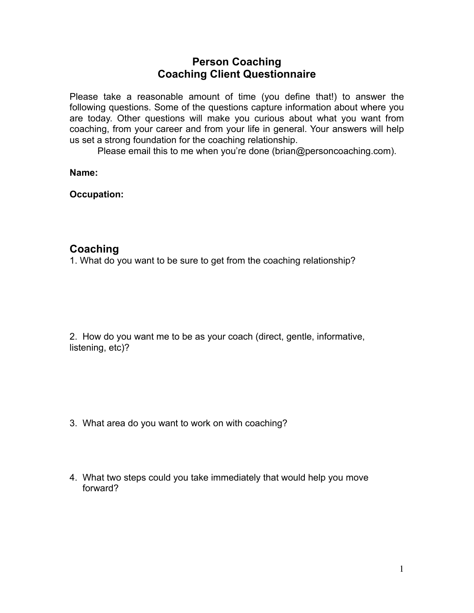## **Person Coaching Coaching Client Questionnaire**

Please take a reasonable amount of time (you define that!) to answer the following questions. Some of the questions capture information about where you are today. Other questions will make you curious about what you want from coaching, from your career and from your life in general. Your answers will help us set a strong foundation for the coaching relationship.

Please email this to me when you're done (brian@personcoaching.com).

**Name:** 

**Occupation:** 

## **Coaching**

1. What do you want to be sure to get from the coaching relationship?

2. How do you want me to be as your coach (direct, gentle, informative, listening, etc)?

- 3. What area do you want to work on with coaching?
- 4. What two steps could you take immediately that would help you move forward?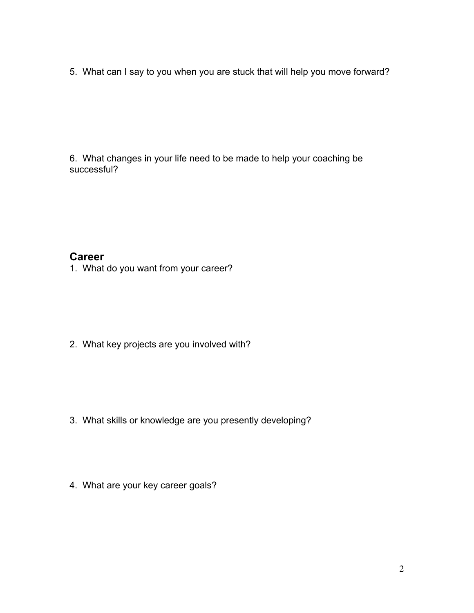5. What can I say to you when you are stuck that will help you move forward?

6. What changes in your life need to be made to help your coaching be successful?

## **Career**

1. What do you want from your career?

2. What key projects are you involved with?

- 3. What skills or knowledge are you presently developing?
- 4. What are your key career goals?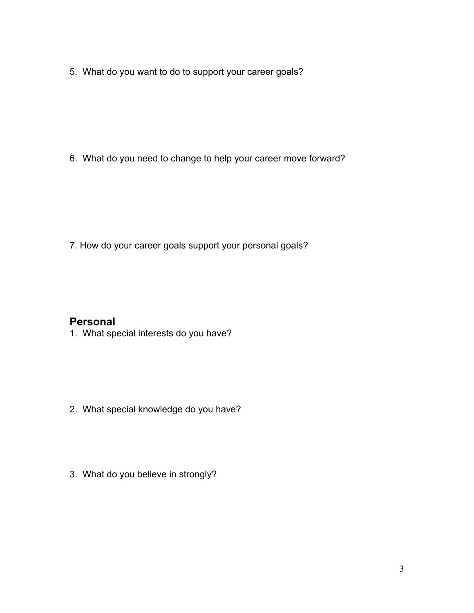5. What do you want to do to support your career goals?

6. What do you need to change to help your career move forward?

7. How do your career goals support your personal goals?

## **Personal**

1. What special interests do you have?

- 2. What special knowledge do you have?
- 3. What do you believe in strongly?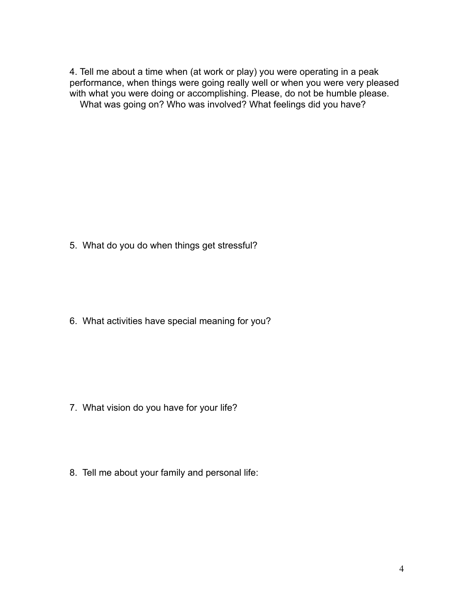4. Tell me about a time when (at work or play) you were operating in a peak performance, when things were going really well or when you were very pleased with what you were doing or accomplishing. Please, do not be humble please. What was going on? Who was involved? What feelings did you have?

5. What do you do when things get stressful?

6. What activities have special meaning for you?

- 7. What vision do you have for your life?
- 8. Tell me about your family and personal life: